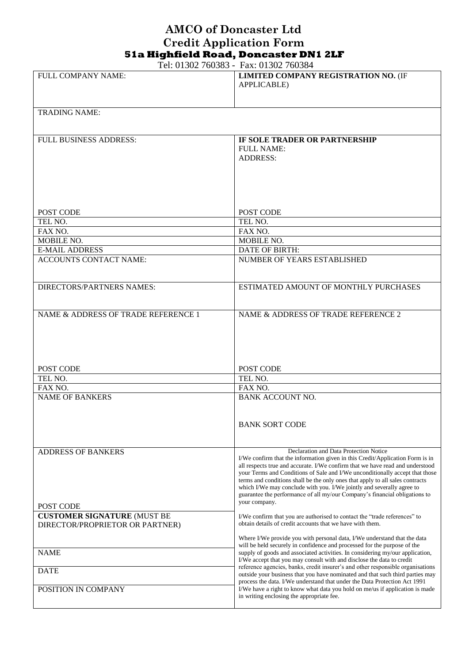## **AMCO of Doncaster Ltd Credit Application Form 51a Highfield Road, Doncaster DN1 2LF**

Tel: 01302 760383 - Fax: 01302 760384

|                                     | 100.012 $(00000 - 1)$ as 01.002 $(0000 + 1)$                                                                                                                  |
|-------------------------------------|---------------------------------------------------------------------------------------------------------------------------------------------------------------|
| <b>FULL COMPANY NAME:</b>           | LIMITED COMPANY REGISTRATION NO. (IF                                                                                                                          |
|                                     | <b>APPLICABLE</b> )                                                                                                                                           |
|                                     |                                                                                                                                                               |
|                                     |                                                                                                                                                               |
| <b>TRADING NAME:</b>                |                                                                                                                                                               |
|                                     |                                                                                                                                                               |
|                                     |                                                                                                                                                               |
| <b>FULL BUSINESS ADDRESS:</b>       | IF SOLE TRADER OR PARTNERSHIP                                                                                                                                 |
|                                     | <b>FULL NAME:</b>                                                                                                                                             |
|                                     | <b>ADDRESS:</b>                                                                                                                                               |
|                                     |                                                                                                                                                               |
|                                     |                                                                                                                                                               |
|                                     |                                                                                                                                                               |
|                                     |                                                                                                                                                               |
|                                     |                                                                                                                                                               |
| POST CODE                           | POST CODE                                                                                                                                                     |
| TEL NO.                             | TEL NO.                                                                                                                                                       |
| FAX NO.                             | FAX NO.                                                                                                                                                       |
| MOBILE NO.                          | MOBILE NO.                                                                                                                                                    |
| <b>E-MAIL ADDRESS</b>               | <b>DATE OF BIRTH:</b>                                                                                                                                         |
| <b>ACCOUNTS CONTACT NAME:</b>       | NUMBER OF YEARS ESTABLISHED                                                                                                                                   |
|                                     |                                                                                                                                                               |
|                                     |                                                                                                                                                               |
| <b>DIRECTORS/PARTNERS NAMES:</b>    | ESTIMATED AMOUNT OF MONTHLY PURCHASES                                                                                                                         |
|                                     |                                                                                                                                                               |
|                                     |                                                                                                                                                               |
| NAME & ADDRESS OF TRADE REFERENCE 1 | NAME & ADDRESS OF TRADE REFERENCE 2                                                                                                                           |
|                                     |                                                                                                                                                               |
|                                     |                                                                                                                                                               |
|                                     |                                                                                                                                                               |
|                                     |                                                                                                                                                               |
|                                     |                                                                                                                                                               |
| POST CODE                           | POST CODE                                                                                                                                                     |
| TEL NO.                             | TEL NO.                                                                                                                                                       |
| FAX NO.                             | FAX NO.                                                                                                                                                       |
| <b>NAME OF BANKERS</b>              | <b>BANK ACCOUNT NO.</b>                                                                                                                                       |
|                                     |                                                                                                                                                               |
|                                     |                                                                                                                                                               |
|                                     | <b>BANK SORT CODE</b>                                                                                                                                         |
|                                     |                                                                                                                                                               |
|                                     |                                                                                                                                                               |
| <b>ADDRESS OF BANKERS</b>           | Declaration and Data Protection Notice                                                                                                                        |
|                                     | I/We confirm that the information given in this Credit/Application Form is in                                                                                 |
|                                     | all respects true and accurate. I/We confirm that we have read and understood                                                                                 |
|                                     | your Terms and Conditions of Sale and I/We unconditionally accept that those<br>terms and conditions shall be the only ones that apply to all sales contracts |
|                                     | which I/We may conclude with you. I/We jointly and severally agree to                                                                                         |
|                                     | guarantee the performance of all my/our Company's financial obligations to                                                                                    |
| POST CODE                           | your company.                                                                                                                                                 |
| <b>CUSTOMER SIGNATURE (MUST BE</b>  | I/We confirm that you are authorised to contact the "trade references" to                                                                                     |
| DIRECTOR/PROPRIETOR OR PARTNER)     | obtain details of credit accounts that we have with them.                                                                                                     |
|                                     |                                                                                                                                                               |
|                                     | Where I/We provide you with personal data, I/We understand that the data                                                                                      |
| <b>NAME</b>                         |                                                                                                                                                               |
|                                     | will be held securely in confidence and processed for the purpose of the                                                                                      |
|                                     | supply of goods and associated activities. In considering my/our application,                                                                                 |
|                                     | I/We accept that you may consult with and disclose the data to credit<br>reference agencies, banks, credit insurer's and other responsible organisations      |
| <b>DATE</b>                         | outside your business that you have nominated and that such third parties may                                                                                 |
|                                     | process the data. I/We understand that under the Data Protection Act 1991                                                                                     |
| POSITION IN COMPANY                 | I/We have a right to know what data you hold on me/us if application is made<br>in writing enclosing the appropriate fee.                                     |